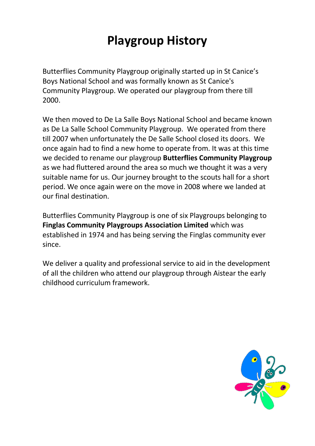# **Playgroup History**

Butterflies Community Playgroup originally started up in St Canice's Boys National School and was formally known as St Canice's Community Playgroup. We operated our playgroup from there till 2000.

We then moved to De La Salle Boys National School and became known as De La Salle School Community Playgroup. We operated from there till 2007 when unfortunately the De Salle School closed its doors. We once again had to find a new home to operate from. It was at this time we decided to rename our playgroup **Butterflies Community Playgroup**  as we had fluttered around the area so much we thought it was a very suitable name for us. Our journey brought to the scouts hall for a short period. We once again were on the move in 2008 where we landed at our final destination.

Butterflies Community Playgroup is one of six Playgroups belonging to **Finglas Community Playgroups Association Limited** which was established in 1974 and has being serving the Finglas community ever since.

We deliver a quality and professional service to aid in the development of all the children who attend our playgroup through Aistear the early childhood curriculum framework.

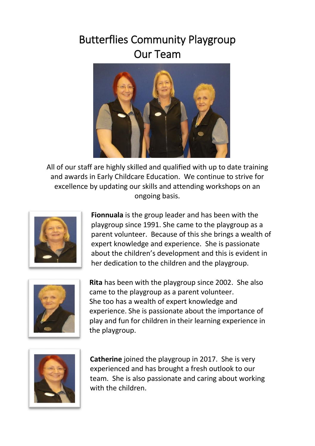## Butterflies Community Playgroup Our Team



All of our staff are highly skilled and qualified with up to date training and awards in Early Childcare Education. We continue to strive for excellence by updating our skills and attending workshops on an ongoing basis.



**Fionnuala** is the group leader and has been with the playgroup since 1991. She came to the playgroup as a parent volunteer. Because of this she brings a wealth of expert knowledge and experience. She is passionate about the children's development and this is evident in her dedication to the children and the playgroup.



**Rita** has been with the playgroup since 2002. She also came to the playgroup as a parent volunteer. She too has a wealth of expert knowledge and experience. She is passionate about the importance of play and fun for children in their learning experience in the playgroup.



**Catherine** joined the playgroup in 2017. She is very experienced and has brought a fresh outlook to our team. She is also passionate and caring about working with the children.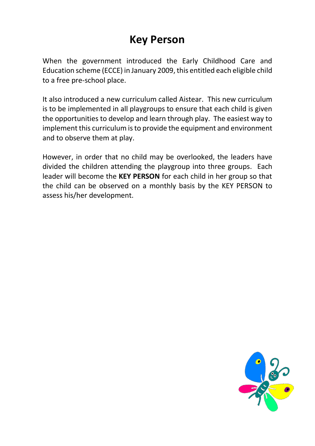## **Key Person**

When the government introduced the Early Childhood Care and Education scheme (ECCE) in January 2009, this entitled each eligible child to a free pre-school place.

It also introduced a new curriculum called Aistear. This new curriculum is to be implemented in all playgroups to ensure that each child is given the opportunities to develop and learn through play. The easiest way to implement this curriculum is to provide the equipment and environment and to observe them at play.

However, in order that no child may be overlooked, the leaders have divided the children attending the playgroup into three groups. Each leader will become the **KEY PERSON** for each child in her group so that the child can be observed on a monthly basis by the KEY PERSON to assess his/her development.

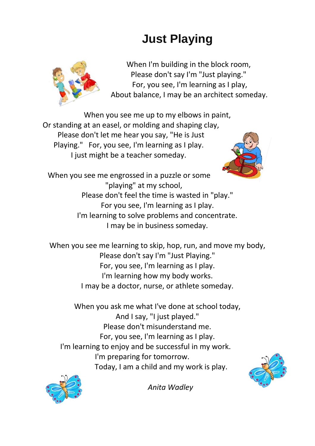# **Just Playing**



When I'm building in the block room, Please don't say I'm "Just playing." For, you see, I'm learning as I play, About balance, I may be an architect someday.

When you see me up to my elbows in paint, Or standing at an easel, or molding and shaping clay, Please don't let me hear you say, "He is Just Playing." For, you see, I'm learning as I play. I just might be a teacher someday.



When you see me engrossed in a puzzle or some "playing" at my school, Please don't feel the time is wasted in "play." For you see, I'm learning as I play. I'm learning to solve problems and concentrate. I may be in business someday.

When you see me learning to skip, hop, run, and move my body, Please don't say I'm "Just Playing." For, you see, I'm learning as I play. I'm learning how my body works. I may be a doctor, nurse, or athlete someday.

When you ask me what I've done at school today, And I say, "I just played." Please don't misunderstand me. For, you see, I'm learning as I play. I'm learning to enjoy and be successful in my work. I'm preparing for tomorrow. Today, I am a child and my work is play.





*Anita Wadley*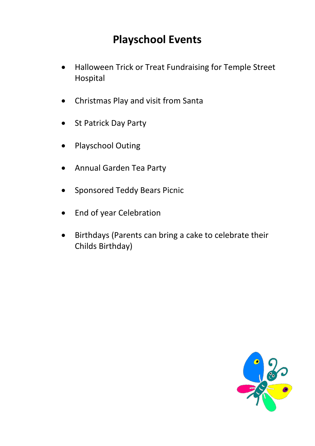## **Playschool Events**

- Halloween Trick or Treat Fundraising for Temple Street Hospital
- Christmas Play and visit from Santa
- St Patrick Day Party
- Playschool Outing
- Annual Garden Tea Party
- Sponsored Teddy Bears Picnic
- End of year Celebration
- Birthdays (Parents can bring a cake to celebrate their Childs Birthday)

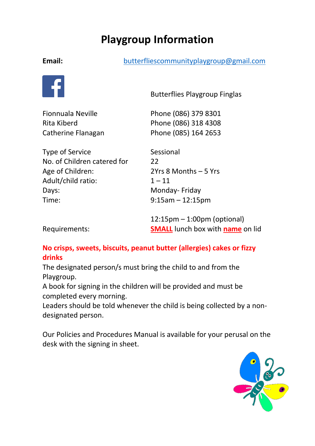## **Playgroup Information**

#### **Email:** butterfliescommunityplaygroup@gmail.com



**Butterflies Playgroup Finglas**<br>Butterflies Playgroup Finglas

Fionnuala Neville Phone (086) 379 8301 Rita Kiberd Phone (086) 318 4308 Catherine Flanagan Phone (085) 164 2653

Type of Service Sessional No. of Children catered for 22 Age of Children: 2Yrs 8 Months – 5 Yrs Adult/child ratio: 1 – 11 Days: Monday- Friday Time: 9:15am – 12:15pm

12:15pm – 1:00pm (optional) Requirements: **SMALL** lunch box with **name** on lid

### **No crisps, sweets, biscuits, peanut butter (allergies) cakes or fizzy drinks**

The designated person/s must bring the child to and from the Playgroup.

A book for signing in the children will be provided and must be completed every morning.

Leaders should be told whenever the child is being collected by a nondesignated person.

Our Policies and Procedures Manual is available for your perusal on the desk with the signing in sheet.

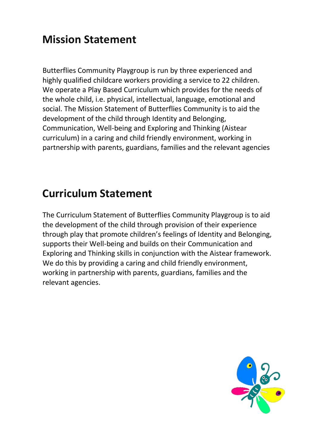## **Mission Statement**

Butterflies Community Playgroup is run by three experienced and highly qualified childcare workers providing a service to 22 children. We operate a Play Based Curriculum which provides for the needs of the whole child, i.e. physical, intellectual, language, emotional and social. The Mission Statement of Butterflies Community is to aid the development of the child through Identity and Belonging, Communication, Well-being and Exploring and Thinking (Aistear curriculum) in a caring and child friendly environment, working in partnership with parents, guardians, families and the relevant agencies

## **Curriculum Statement**

The Curriculum Statement of Butterflies Community Playgroup is to aid the development of the child through provision of their experience through play that promote children's feelings of Identity and Belonging, supports their Well-being and builds on their Communication and Exploring and Thinking skills in conjunction with the Aistear framework. We do this by providing a caring and child friendly environment, working in partnership with parents, guardians, families and the relevant agencies.